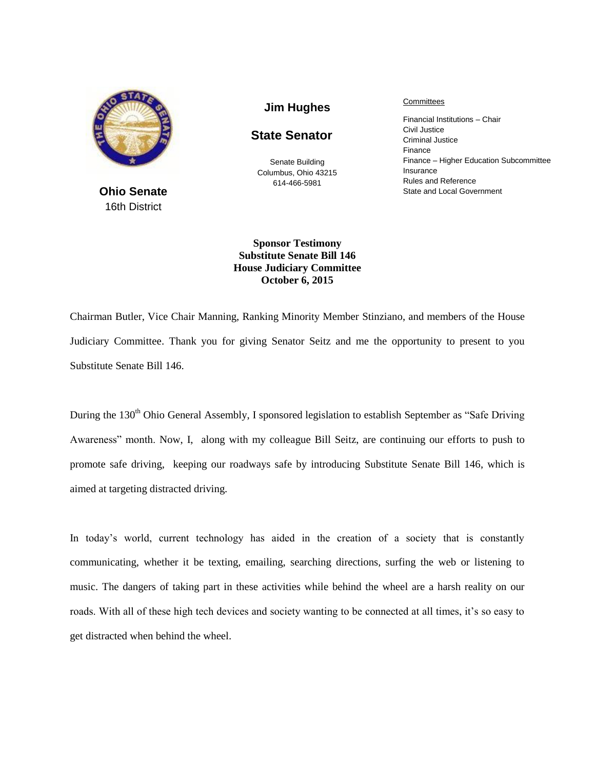

**Ohio Senate** 16th District

**Jim Hughes**

## **State Senator**

Senate Building Columbus, Ohio 43215 614-466-5981

**Committees** 

Financial Institutions – Chair Civil Justice Criminal Justice Finance Finance – Higher Education Subcommittee Insurance Rules and Reference State and Local Government

**Sponsor Testimony Substitute Senate Bill 146 House Judiciary Committee October 6, 2015**

Chairman Butler, Vice Chair Manning, Ranking Minority Member Stinziano, and members of the House Judiciary Committee. Thank you for giving Senator Seitz and me the opportunity to present to you Substitute Senate Bill 146.

During the 130<sup>th</sup> Ohio General Assembly, I sponsored legislation to establish September as "Safe Driving" Awareness" month. Now, I, along with my colleague Bill Seitz, are continuing our efforts to push to promote safe driving, keeping our roadways safe by introducing Substitute Senate Bill 146, which is aimed at targeting distracted driving.

In today's world, current technology has aided in the creation of a society that is constantly communicating, whether it be texting, emailing, searching directions, surfing the web or listening to music. The dangers of taking part in these activities while behind the wheel are a harsh reality on our roads. With all of these high tech devices and society wanting to be connected at all times, it's so easy to get distracted when behind the wheel.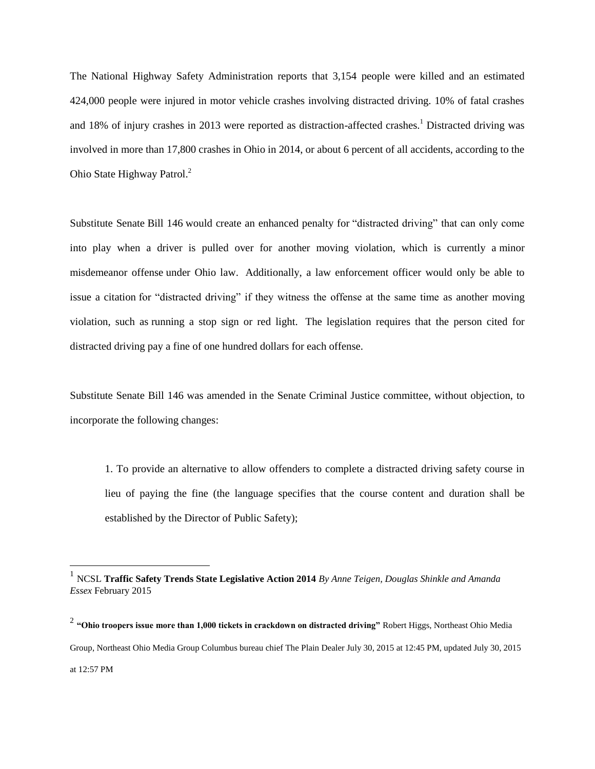The National Highway Safety Administration reports that 3,154 people were killed and an estimated 424,000 people were injured in motor vehicle crashes involving distracted driving. 10% of fatal crashes and 18% of injury crashes in 2013 were reported as distraction-affected crashes.<sup>1</sup> Distracted driving was involved in more than 17,800 crashes in Ohio in 2014, or about 6 percent of all accidents, according to the Ohio State Highway Patrol.<sup>2</sup>

Substitute Senate Bill 146 would create an enhanced penalty for "distracted driving" that can only come into play when a driver is pulled over for another moving violation, which is currently a minor misdemeanor offense under Ohio law. Additionally, a law enforcement officer would only be able to issue a citation for "distracted driving" if they witness the offense at the same time as another moving violation, such as running a stop sign or red light. The legislation requires that the person cited for distracted driving pay a fine of one hundred dollars for each offense.

Substitute Senate Bill 146 was amended in the Senate Criminal Justice committee, without objection, to incorporate the following changes:

1. To provide an alternative to allow offenders to complete a distracted driving safety course in lieu of paying the fine (the language specifies that the course content and duration shall be established by the Director of Public Safety);

 $\overline{a}$ 

<sup>1</sup> NCSL **Traffic Safety Trends State Legislative Action 2014** *By Anne Teigen, Douglas Shinkle and Amanda Essex* February 2015

<sup>2</sup> **"Ohio troopers issue more than 1,000 tickets in crackdown on distracted driving"** Robert Higgs, Northeast Ohio Media Group, Northeast Ohio Media Group Columbus bureau chief The Plain Dealer July 30, 2015 at 12:45 PM, updated July 30, 2015 at 12:57 PM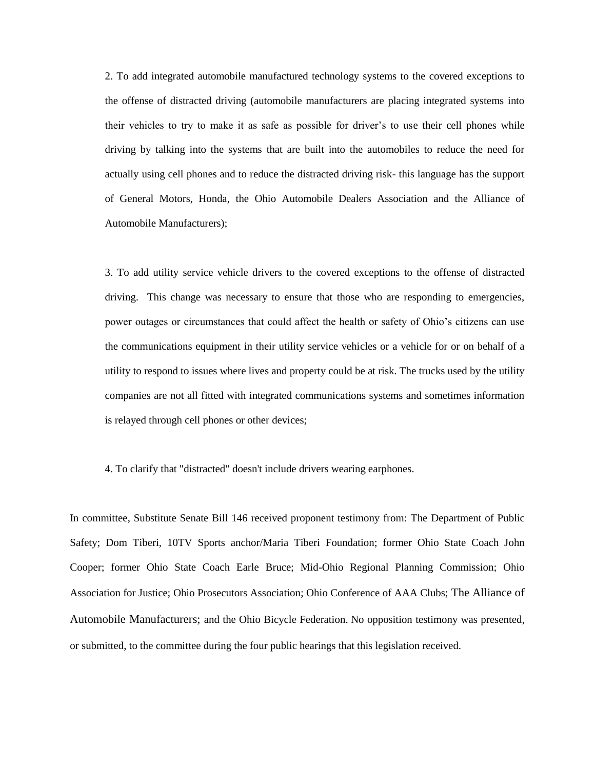2. To add integrated automobile manufactured technology systems to the covered exceptions to the offense of distracted driving (automobile manufacturers are placing integrated systems into their vehicles to try to make it as safe as possible for driver's to use their cell phones while driving by talking into the systems that are built into the automobiles to reduce the need for actually using cell phones and to reduce the distracted driving risk- this language has the support of General Motors, Honda, the [Ohio Automobile Dealers Association a](http://www2.jlec-olig.state.oh.us/OLAC/Reports/ViewEmployer.aspx?id=202)nd the Alliance of Automobile Manufacturers);

3. To add utility service vehicle drivers to the covered exceptions to the offense of distracted driving. This change was necessary to ensure that those who are responding to emergencies, power outages or circumstances that could affect the health or safety of Ohio's citizens can use the communications equipment in their utility service vehicles or a vehicle for or on behalf of a utility to respond to issues where lives and property could be at risk. The trucks used by the utility companies are not all fitted with integrated communications systems and sometimes information is relayed through cell phones or other devices;

## 4. To clarify that "distracted" doesn't include drivers wearing earphones.

In committee, Substitute Senate Bill 146 received proponent testimony from: The Department of Public Safety; Dom Tiberi, 10TV Sports anchor/Maria Tiberi Foundation; former Ohio State Coach John Cooper; former Ohio State Coach Earle Bruce; Mid-Ohio Regional Planning Commission; Ohio Association for Justice; Ohio Prosecutors Association; Ohio Conference of AAA Clubs; The Alliance of Automobile Manufacturers; and the Ohio Bicycle Federation. No opposition testimony was presented, or submitted, to the committee during the four public hearings that this legislation received.